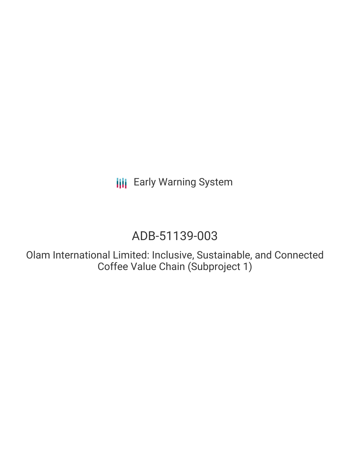**III** Early Warning System

# ADB-51139-003

Olam International Limited: Inclusive, Sustainable, and Connected Coffee Value Chain (Subproject 1)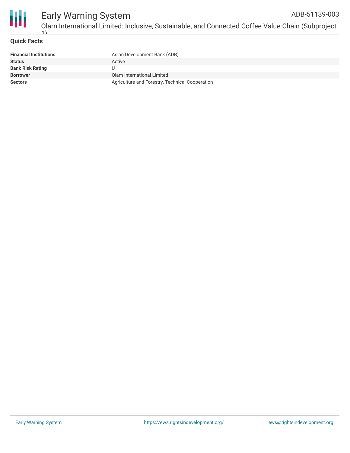

#### **Quick Facts**

| <b>Financial Institutions</b> | Asian Development Bank (ADB)                    |
|-------------------------------|-------------------------------------------------|
| <b>Status</b>                 | Active                                          |
| <b>Bank Risk Rating</b>       |                                                 |
| <b>Borrower</b>               | Olam International Limited                      |
| <b>Sectors</b>                | Agriculture and Forestry, Technical Cooperation |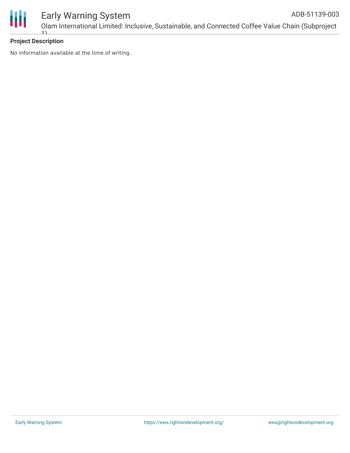

#### **Project Description**

No information available at the time of writing.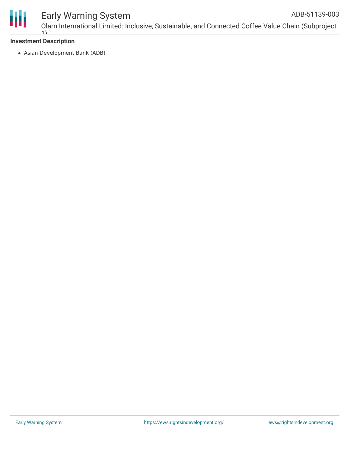

## Early Warning System

Olam International Limited: Inclusive, Sustainable, and Connected Coffee Value Chain (Subproject 1) ADB-51139-003

#### **Investment Description**

Asian Development Bank (ADB)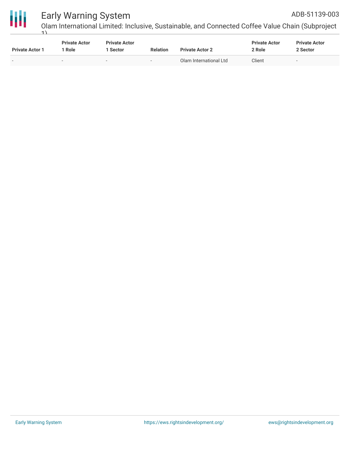

# Early Warning System

ADB-51139-003

Olam International Limited: Inclusive, Sustainable, and Connected Coffee Value Chain (Subproject 1)

| <b>Private Actor 1</b> | <b>Private Actor</b><br>1 Role | <b>Private Actor</b><br>1 Sector | <b>Relation</b>          | <b>Private Actor 2</b> | <b>Private Actor</b><br>2 Role | <b>Private Actor</b><br>2 Sector |
|------------------------|--------------------------------|----------------------------------|--------------------------|------------------------|--------------------------------|----------------------------------|
| $\sim$                 | $\overline{\phantom{0}}$       | $\overline{\phantom{0}}$         | $\overline{\phantom{0}}$ | Olam International Ltd | Client                         | $\sim$                           |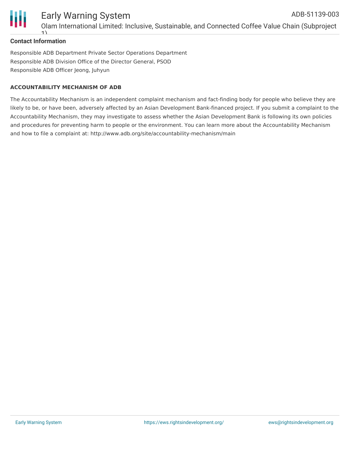

#### **Contact Information**

1)

Responsible ADB Department Private Sector Operations Department Responsible ADB Division Office of the Director General, PSOD Responsible ADB Officer Jeong, Juhyun

#### **ACCOUNTABILITY MECHANISM OF ADB**

The Accountability Mechanism is an independent complaint mechanism and fact-finding body for people who believe they are likely to be, or have been, adversely affected by an Asian Development Bank-financed project. If you submit a complaint to the Accountability Mechanism, they may investigate to assess whether the Asian Development Bank is following its own policies and procedures for preventing harm to people or the environment. You can learn more about the Accountability Mechanism and how to file a complaint at: http://www.adb.org/site/accountability-mechanism/main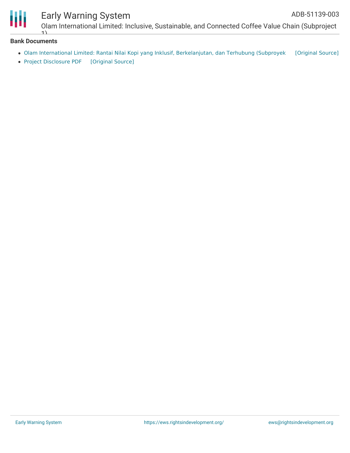

Ш

### Early Warning System

Olam International Limited: Inclusive, Sustainable, and Connected Coffee Value Chain (Subproject  $\overline{1}$ 

#### **Bank Documents**

- Olam International Limited: Rantai Nilai Kopi yang Inklusif, [Berkelanjutan,](https://ewsdata.rightsindevelopment.org/files/documents/03/ADB-51139-003_tJ58qCw.pdf) dan Terhubung (Subproyek [\[Original](https://www.adb.org/id/projects/documents/ino-51139-003-pds) Source]
- Project [Disclosure](https://ewsdata.rightsindevelopment.org/files/documents/03/ADB-51139-003.pdf) PDF [\[Original](https://www.adb.org/printpdf/projects/51139-003/main) Source]